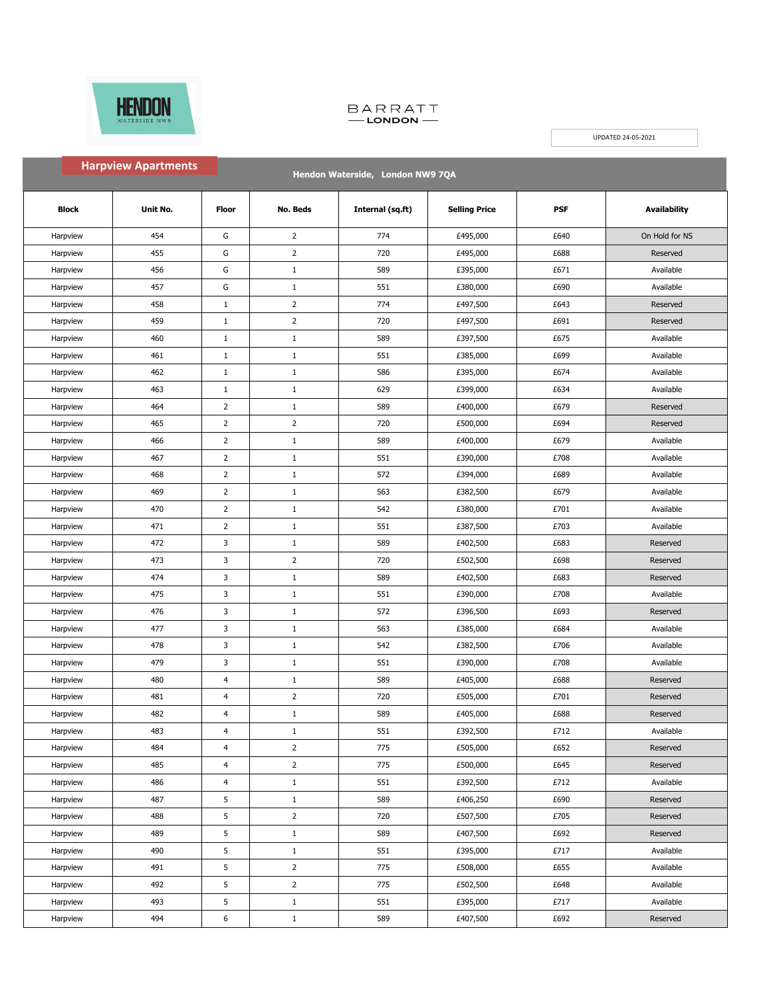

٠

## BARRATT<br>
-- LONDON

UPDATED 24-05-2021

| <b>Harpview Apartments</b><br>Hendon Waterside, London NW9 7QA |          |                |                |                  |                      |      |                     |
|----------------------------------------------------------------|----------|----------------|----------------|------------------|----------------------|------|---------------------|
| <b>Block</b>                                                   | Unit No. | Floor          | No. Beds       | Internal (sq.ft) | <b>Selling Price</b> | PSF  | <b>Availability</b> |
| Harpview                                                       | 454      | G              | $\overline{2}$ | 774              | £495,000             | £640 | On Hold for NS      |
| Harpview                                                       | 455      | G              | $\overline{2}$ | 720              | £495,000             | £688 | Reserved            |
| Harpview                                                       | 456      | G              | $\mathbf{1}$   | 589              | £395,000             | £671 | Available           |
| Harpview                                                       | 457      | G              | $\mathbf{1}$   | 551              | £380,000             | £690 | Available           |
| Harpview                                                       | 458      | $\mathbf{1}$   | $\overline{2}$ | 774              | £497,500             | £643 | Reserved            |
| Harpview                                                       | 459      | $\mathbf{1}$   | $\overline{2}$ | 720              | £497,500             | £691 | Reserved            |
| Harpview                                                       | 460      | $\mathbf{1}$   | $\mathbf{1}$   | 589              | £397,500             | £675 | Available           |
| Harpview                                                       | 461      | $\mathbf{1}$   | $\mathbf{1}$   | 551              | £385,000             | £699 | Available           |
| Harpview                                                       | 462      | $1\,$          | $\mathbf{1}$   | 586              | £395,000             | £674 | Available           |
| Harpview                                                       | 463      | $\mathbf{1}$   | $\mathbf{1}$   | 629              | £399,000             | £634 | Available           |
| Harpview                                                       | 464      | $\overline{2}$ | $\mathbf{1}$   | 589              | £400,000             | £679 | Reserved            |
| Harpview                                                       | 465      | $\overline{2}$ | $\overline{2}$ | 720              | £500,000             | £694 | Reserved            |
| Harpview                                                       | 466      | $\overline{2}$ | $\mathbf{1}$   | 589              | £400,000             | £679 | Available           |
| Harpview                                                       | 467      | $\overline{2}$ | $\mathbf{1}$   | 551              | £390,000             | £708 | Available           |
| Harpview                                                       | 468      | $\overline{2}$ | $\mathbf{1}$   | 572              | £394,000             | £689 | Available           |
| Harpview                                                       | 469      | $\overline{2}$ | $\mathbf{1}$   | 563              | £382,500             | £679 | Available           |
| Harpview                                                       | 470      | $\overline{2}$ | $1\,$          | 542              | £380,000             | £701 | Available           |
| Harpview                                                       | 471      | $\overline{2}$ | $\mathbf{1}$   | 551              | £387,500             | £703 | Available           |
| Harpview                                                       | 472      | 3              | $\mathbf{1}$   | 589              | £402,500             | £683 | Reserved            |
| Harpview                                                       | 473      | 3              | $\overline{2}$ | 720              | £502,500             | £698 | Reserved            |
| Harpview                                                       | 474      | 3              | $\mathbf{1}$   | 589              | £402,500             | £683 | Reserved            |
| Harpview                                                       | 475      | 3              | $\mathbf{1}$   | 551              | £390,000             | £708 | Available           |
| Harpview                                                       | 476      | 3              | $\mathbf{1}$   | 572              | £396,500             | £693 | Reserved            |
| Harpview                                                       | 477      | 3              | $1\,$          | 563              | £385,000             | £684 | Available           |
| Harpview                                                       | 478      | 3              | $1\,$          | 542              | £382,500             | £706 | Available           |
| Harpview                                                       | 479      | 3              | $\mathbf{1}$   | 551              | £390,000             | £708 | Available           |
| Harpview                                                       | 480      | 4              | $\mathbf{1}$   | 589              | £405,000             | £688 | Reserved            |
| Harpview                                                       | 481      | 4              | $\overline{2}$ | 720              | £505,000             | £701 | Reserved            |
| Harpview                                                       | 482      | 4              | $\mathbf{1}$   | 589              | £405,000             | £688 | Reserved            |
| Harpview                                                       | 483      | 4              | $\mathbf{1}$   | 551              | £392,500             | £712 | Available           |
| Harpview                                                       | 484      | 4              | $\overline{2}$ | 775              | £505,000             | £652 | Reserved            |
| Harpview                                                       | 485      | 4              | $\overline{2}$ | 775              | £500,000             | £645 | Reserved            |
| Harpview                                                       | 486      | 4              | $\mathbf{1}$   | 551              | £392,500             | £712 | Available           |
| Harpview                                                       | 487      | 5              | $\mathbf{1}$   | 589              | £406,250             | £690 | Reserved            |
| Harpview                                                       | 488      | 5              | $\overline{2}$ | 720              | £507,500             | £705 | Reserved            |
| Harpview                                                       | 489      | 5              | $\mathbf{1}$   | 589              | £407,500             | £692 | Reserved            |
| Harpview                                                       | 490      | 5              | $\mathbf{1}$   | 551              | £395,000             | £717 | Available           |
| Harpview                                                       | 491      | 5              | $\overline{2}$ | 775              | £508,000             | £655 | Available           |
| Harpview                                                       | 492      | 5              | $\overline{2}$ | 775              | £502,500             | £648 | Available           |
| Harpview                                                       | 493      | 5              | $1\,$          | 551              | £395,000             | £717 | Available           |
| Harpview                                                       | 494      | 6              | $\mathbf{1}$   | 589              | £407,500             | £692 | Reserved            |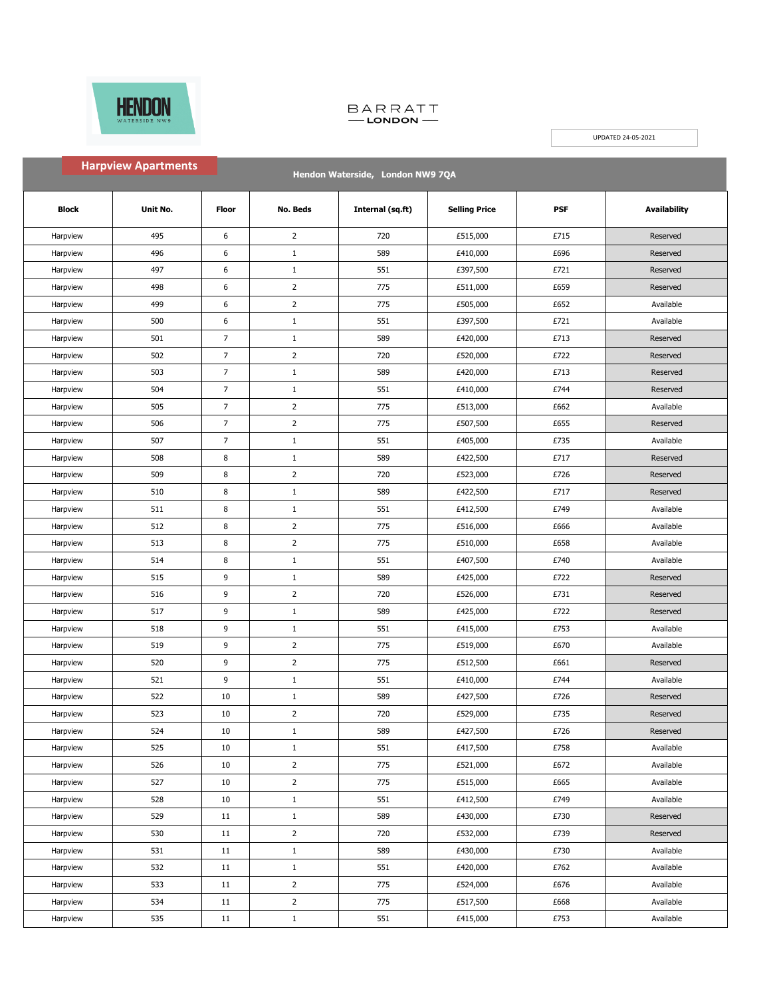

٠

## BARRATT<br>
-- LONDON

UPDATED 24-05-2021

| <b>Harpview Apartments</b><br>Hendon Waterside, London NW9 7QA |          |                |                 |                  |                      |      |                     |
|----------------------------------------------------------------|----------|----------------|-----------------|------------------|----------------------|------|---------------------|
| <b>Block</b>                                                   | Unit No. | <b>Floor</b>   | <b>No. Beds</b> | Internal (sq.ft) | <b>Selling Price</b> | PSF  | <b>Availability</b> |
| Harpview                                                       | 495      | 6              | $\overline{2}$  | 720              | £515,000             | £715 | Reserved            |
| Harpview                                                       | 496      | 6              | $\mathbf{1}$    | 589              | £410,000             | £696 | Reserved            |
| Harpview                                                       | 497      | 6              | $\,1\,$         | 551              | £397,500             | £721 | Reserved            |
| Harpview                                                       | 498      | 6              | $\overline{2}$  | 775              | £511,000             | £659 | Reserved            |
| Harpview                                                       | 499      | 6              | $\overline{2}$  | 775              | £505,000             | £652 | Available           |
| Harpview                                                       | 500      | 6              | $\mathbf{1}$    | 551              | £397,500             | £721 | Available           |
| Harpview                                                       | 501      | $\overline{7}$ | $\mathbf{1}$    | 589              | £420,000             | £713 | Reserved            |
| Harpview                                                       | 502      | $\overline{7}$ | $\overline{2}$  | 720              | £520,000             | £722 | Reserved            |
| Harpview                                                       | 503      | $\overline{7}$ | $\mathbf{1}$    | 589              | £420,000             | £713 | Reserved            |
| Harpview                                                       | 504      | $\overline{7}$ | $\mathbf{1}$    | 551              | £410,000             | £744 | Reserved            |
| Harpview                                                       | 505      | $\overline{7}$ | $\overline{2}$  | 775              | £513,000             | £662 | Available           |
| Harpview                                                       | 506      | $\overline{7}$ | $\overline{2}$  | 775              | £507,500             | £655 | Reserved            |
| Harpview                                                       | 507      | $\overline{7}$ | $\mathbf{1}$    | 551              | £405,000             | £735 | Available           |
| Harpview                                                       | 508      | 8              | $\mathbf{1}$    | 589              | £422,500             | £717 | Reserved            |
| Harpview                                                       | 509      | 8              | $\overline{2}$  | 720              | £523,000             | £726 | Reserved            |
| Harpview                                                       | 510      | 8              | $\mathbf{1}$    | 589              | £422,500             | £717 | Reserved            |
| Harpview                                                       | 511      | 8              | $\mathbf{1}$    | 551              | £412,500             | £749 | Available           |
| Harpview                                                       | 512      | 8              | $\overline{2}$  | 775              | £516,000             | £666 | Available           |
| Harpview                                                       | 513      | $\bf 8$        | $\overline{2}$  | 775              | £510,000             | £658 | Available           |
| Harpview                                                       | 514      | 8              | $\mathbf{1}$    | 551              | £407,500             | £740 | Available           |
| Harpview                                                       | 515      | 9              | $\mathbf{1}$    | 589              | £425,000             | £722 | Reserved            |
| Harpview                                                       | 516      | 9              | $\overline{2}$  | 720              | £526,000             | £731 | Reserved            |
| Harpview                                                       | 517      | 9              | $\mathbf{1}$    | 589              | £425,000             | £722 | Reserved            |
| Harpview                                                       | 518      | 9              | $\,1\,$         | 551              | £415,000             | £753 | Available           |
| Harpview                                                       | 519      | 9              | $\overline{2}$  | 775              | £519,000             | £670 | Available           |
| Harpview                                                       | 520      | 9              | $\overline{2}$  | 775              | £512,500             | £661 | Reserved            |
| Harpview                                                       | 521      | 9              | $\mathbf{1}$    | 551              | £410,000             | £744 | Available           |
| Harpview                                                       | 522      | 10             | $\mathbf{1}$    | 589              | £427,500             | £726 | Reserved            |
| Harpview                                                       | 523      | 10             | $\overline{2}$  | 720              | £529,000             | £735 | Reserved            |
| Harpview                                                       | 524      | 10             | $\mathbf{1}$    | 589              | £427,500             | £726 | Reserved            |
| Harpview                                                       | 525      | $10\,$         | $\mathbf{1}$    | 551              | £417,500             | £758 | Available           |
| Harpview                                                       | 526      | $10\,$         | $\overline{2}$  | 775              | £521,000             | £672 | Available           |
| Harpview                                                       | 527      | 10             | $\overline{2}$  | 775              | £515,000             | £665 | Available           |
| Harpview                                                       | 528      | 10             | $\mathbf{1}$    | 551              | £412,500             | £749 | Available           |
| Harpview                                                       | 529      | 11             | $1\,$           | 589              | £430,000             | £730 | Reserved            |
| Harpview                                                       | 530      | 11             | $\overline{2}$  | 720              | £532,000             | £739 | Reserved            |
| Harpview                                                       | 531      | 11             | $\mathbf{1}$    | 589              | £430,000             | £730 | Available           |
| Harpview                                                       | 532      | 11             | $\mathbf{1}$    | 551              | £420,000             | £762 | Available           |
| Harpview                                                       | 533      | 11             | $\overline{2}$  | 775              | £524,000             | £676 | Available           |
| Harpview                                                       | 534      | 11             | $\overline{2}$  | 775              | £517,500             | £668 | Available           |
| Harpview                                                       | 535      | 11             | $1\,$           | 551              | £415,000             | £753 | Available           |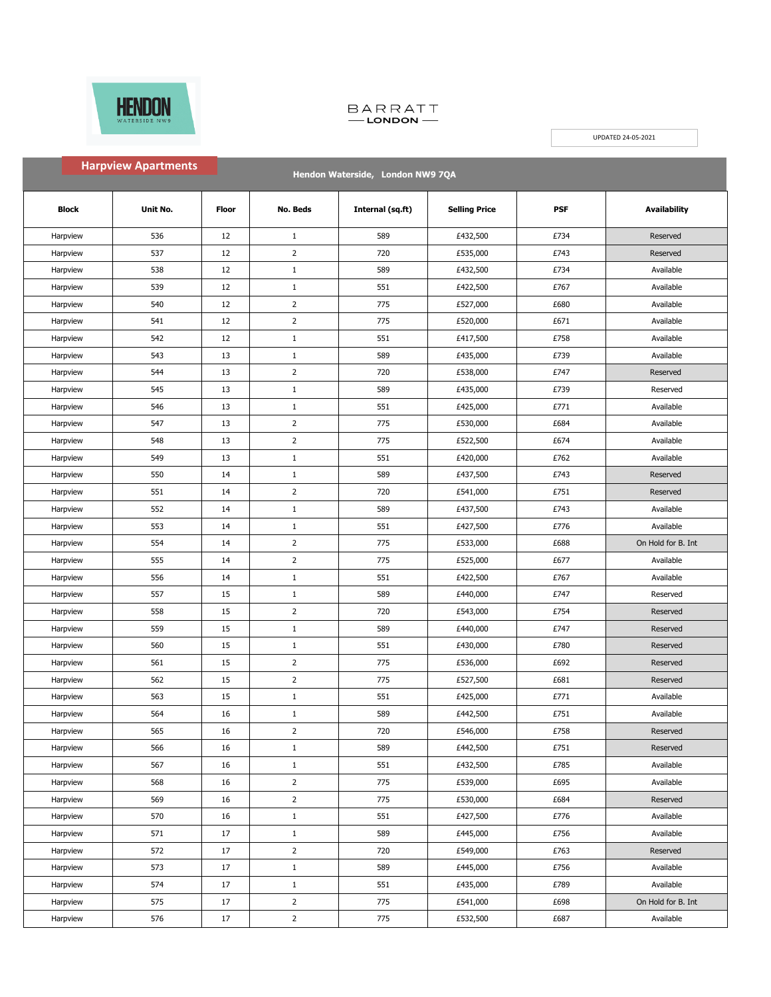

## BARRATT<br>
-- LONDON

UPDATED 24-05-2021

| <b>Harpview Apartments</b><br>Hendon Waterside, London NW9 7QA |          |              |                 |                  |                      |      |                     |
|----------------------------------------------------------------|----------|--------------|-----------------|------------------|----------------------|------|---------------------|
| <b>Block</b>                                                   | Unit No. | <b>Floor</b> | <b>No. Beds</b> | Internal (sq.ft) | <b>Selling Price</b> | PSF  | <b>Availability</b> |
| Harpview                                                       | 536      | 12           | $\mathbf{1}$    | 589              | £432,500             | £734 | Reserved            |
| Harpview                                                       | 537      | 12           | $\overline{2}$  | 720              | £535,000             | £743 | Reserved            |
| Harpview                                                       | 538      | 12           | $\mathbf{1}$    | 589              | £432,500             | £734 | Available           |
| Harpview                                                       | 539      | 12           | $\mathbf{1}$    | 551              | £422,500             | £767 | Available           |
| Harpview                                                       | 540      | 12           | $\overline{2}$  | 775              | £527,000             | £680 | Available           |
| Harpview                                                       | 541      | 12           | $\overline{2}$  | 775              | £520,000             | £671 | Available           |
| Harpview                                                       | 542      | 12           | $\mathbf{1}$    | 551              | £417,500             | £758 | Available           |
| Harpview                                                       | 543      | 13           | $\mathbf{1}$    | 589              | £435,000             | £739 | Available           |
| Harpview                                                       | 544      | 13           | $\overline{2}$  | 720              | £538,000             | £747 | Reserved            |
| Harpview                                                       | 545      | 13           | $\mathbf{1}$    | 589              | £435,000             | £739 | Reserved            |
| Harpview                                                       | 546      | 13           | $\mathbf{1}$    | 551              | £425,000             | £771 | Available           |
| Harpview                                                       | 547      | 13           | $\overline{2}$  | 775              | £530,000             | £684 | Available           |
| Harpview                                                       | 548      | 13           | $\overline{2}$  | 775              | £522,500             | £674 | Available           |
| Harpview                                                       | 549      | 13           | $\mathbf{1}$    | 551              | £420,000             | £762 | Available           |
| Harpview                                                       | 550      | 14           | $\mathbf{1}$    | 589              | £437,500             | £743 | Reserved            |
| Harpview                                                       | 551      | 14           | $\overline{2}$  | 720              | £541,000             | £751 | Reserved            |
| Harpview                                                       | 552      | 14           | $\mathbf{1}$    | 589              | £437,500             | £743 | Available           |
| Harpview                                                       | 553      | 14           | $\mathbf{1}$    | 551              | £427,500             | £776 | Available           |
| Harpview                                                       | 554      | 14           | $\overline{2}$  | 775              | £533,000             | £688 | On Hold for B. Int  |
| Harpview                                                       | 555      | 14           | $\overline{2}$  | 775              | £525,000             | £677 | Available           |
| Harpview                                                       | 556      | 14           | $1\,$           | 551              | £422,500             | £767 | Available           |
| Harpview                                                       | 557      | 15           | $\mathbf{1}$    | 589              | £440,000             | £747 | Reserved            |
| Harpview                                                       | 558      | 15           | $\overline{2}$  | 720              | £543,000             | £754 | Reserved            |
| Harpview                                                       | 559      | 15           | $1\,$           | 589              | £440,000             | £747 | Reserved            |
| Harpview                                                       | 560      | 15           | $\mathbf{1}$    | 551              | £430,000             | £780 | Reserved            |
| Harpview                                                       | 561      | 15           | $\overline{2}$  | 775              | £536,000             | £692 | Reserved            |
| Harpview                                                       | 562      | 15           | $\overline{2}$  | 775              | £527,500             | £681 | Reserved            |
| Harpview                                                       | 563      | 15           | $\mathbf{1}$    | 551              | £425,000             | £771 | Available           |
| Harpview                                                       | 564      | 16           | $\mathbf{1}$    | 589              | £442,500             | £751 | Available           |
| Harpview                                                       | 565      | 16           | $\overline{2}$  | 720              | £546,000             | £758 | Reserved            |
| Harpview                                                       | 566      | 16           | $\mathbf{1}$    | 589              | £442,500             | £751 | Reserved            |
| Harpview                                                       | 567      | 16           | $\mathbf{1}$    | 551              | £432,500             | £785 | Available           |
| Harpview                                                       | 568      | 16           | $\overline{2}$  | 775              | £539,000             | £695 | Available           |
| Harpview                                                       | 569      | 16           | $\overline{2}$  | 775              | £530,000             | £684 | Reserved            |
| Harpview                                                       | 570      | 16           | $\mathbf{1}$    | 551              | £427,500             | £776 | Available           |
| Harpview                                                       | 571      | 17           | $\mathbf{1}$    | 589              | £445,000             | £756 | Available           |
| Harpview                                                       | 572      | 17           | $\overline{2}$  | 720              | £549,000             | £763 | Reserved            |
| Harpview                                                       | 573      | 17           | $\mathbf{1}$    | 589              | £445,000             | £756 | Available           |
| Harpview                                                       | 574      | 17           | $\mathbf{1}$    | 551              | £435,000             | £789 | Available           |
| Harpview                                                       | 575      | $17\,$       | $\overline{2}$  | 775              | £541,000             | £698 | On Hold for B. Int  |
| Harpview                                                       | 576      | 17           | $\overline{2}$  | 775              | £532,500             | £687 | Available           |